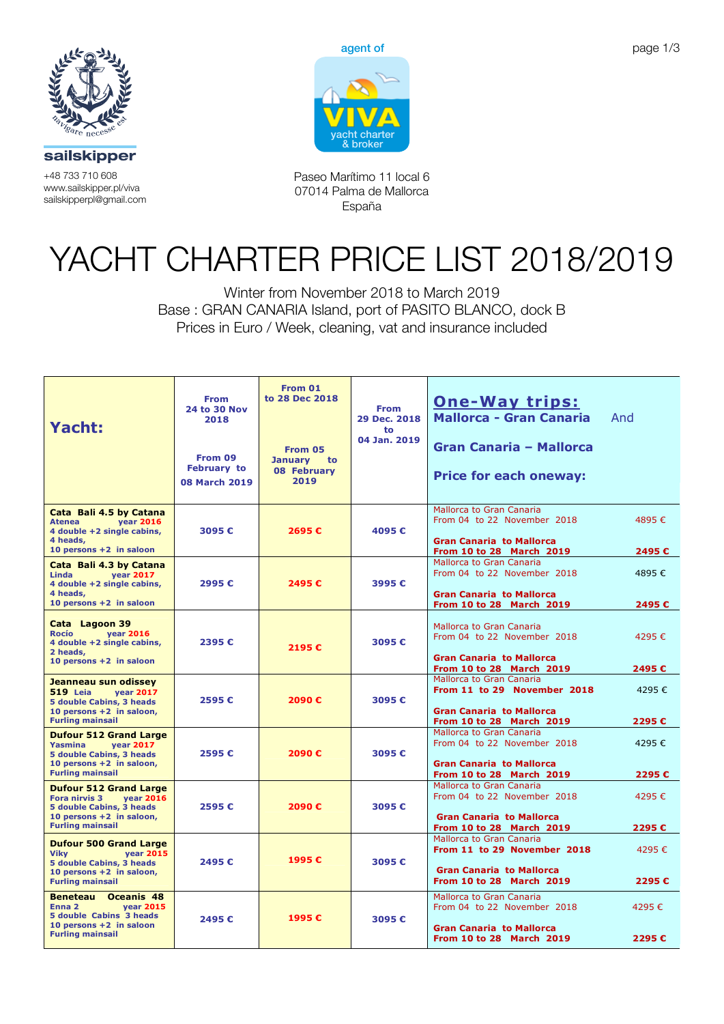

sailskipper

**Paseo Marítimo 11 local 6** +48 733 710 608 www.sailskipper.pl/viva



**07014 Palma de Mallorca www.vivacharter.com** Paseo Marítimo 11 local 6 **España info@vivacharter.com** sailskipperpl@gmail.com 07014 Palma de Mallorca España

## YACHT CHARTER PRICE LIST 2018/2019

**Charter Price list: Winter from November 2018 to March 2019** Base : GRAN CANARIA Island, port of PASITO BLANCO, dock B Prices in Euro / Week, cleaning, vat and insurance included Winter from November 2018 to March 2019

| <b>Yacht:</b>                                                                                                                                                 | <b>From</b><br><b>24 to 30 Nov</b><br>2018<br>From 09<br><b>February to</b><br><b>08 March 2019</b> | From 01<br>to 28 Dec 2018<br>From 05<br>January to<br>08 February<br>2019 | <b>From</b><br>29 Dec. 2018<br>to<br>04 Jan. 2019 | <u>One-Way trips:</u><br><b>Mallorca - Gran Canaria</b><br><b>Gran Canaria - Mallorca</b><br><b>Price for each oneway:</b>           | And            |
|---------------------------------------------------------------------------------------------------------------------------------------------------------------|-----------------------------------------------------------------------------------------------------|---------------------------------------------------------------------------|---------------------------------------------------|--------------------------------------------------------------------------------------------------------------------------------------|----------------|
| Cata Bali 4.5 by Catana<br><b>year 2016</b><br><b>Atenea</b><br>4 double +2 single cabins,<br>4 heads,<br>10 persons $+2$ in saloon                           | 3095€                                                                                               | 2695€                                                                     | 4095€                                             | <b>Mallorca to Gran Canaria</b><br>From 04 to 22 November 2018<br><b>Gran Canaria to Mallorca</b><br><b>From 10 to 28 March 2019</b> | 4895€<br>2495€ |
| Cata Bali 4.3 by Catana<br>Linda<br><b>vear 2017</b><br>4 double +2 single cabins,<br>4 heads,<br>10 persons +2 in saloon                                     | 2995€                                                                                               | 2495€                                                                     | 3995€                                             | Mallorca to Gran Canaria<br>From 04 to 22 November 2018<br><b>Gran Canaria to Mallorca</b><br>From 10 to 28 March 2019               | 4895€<br>2495€ |
| Cata Lagoon 39<br><b>Rocío</b><br><b>vear 2016</b><br>4 double +2 single cabins,<br>2 heads,<br>10 persons +2 in saloon                                       | 2395€                                                                                               | 2195€                                                                     | 3095€                                             | Mallorca to Gran Canaria<br>From 04 to 22 November 2018<br><b>Gran Canaria to Mallorca</b><br><b>From 10 to 28 March 2019</b>        | 4295€<br>2495€ |
| Jeanneau sun odissey<br><b>519 Leia</b><br><b>vear 2017</b><br><b>5 double Cabins, 3 heads</b><br>10 persons +2 in saloon,<br><b>Furling mainsail</b>         | 2595€                                                                                               | 2090€                                                                     | 3095€                                             | Mallorca to Gran Canaria<br>From 11 to 29 November 2018<br><b>Gran Canaria to Mallorca</b><br><b>From 10 to 28 March 2019</b>        | 4295€<br>2295€ |
| <b>Dufour 512 Grand Large</b><br><b>Yasmina</b><br><b>vear 2017</b><br><b>5 double Cabins, 3 heads</b><br>10 persons +2 in saloon,<br><b>Furling mainsail</b> | 2595€                                                                                               | 2090€                                                                     | 3095€                                             | Mallorca to Gran Canaria<br>From 04 to 22 November 2018<br><b>Gran Canaria to Mallorca</b><br>From 10 to 28 March 2019               | 4295€<br>2295€ |
| <b>Dufour 512 Grand Large</b><br><b>Fora nirvis 3</b><br><b>vear 2016</b><br>5 double Cabins, 3 heads<br>10 persons +2 in saloon,<br><b>Furling mainsail</b>  | 2595€                                                                                               | 2090€                                                                     | 3095€                                             | Mallorca to Gran Canaria<br>From 04 to 22 November 2018<br><b>Gran Canaria to Mallorca</b><br><b>From 10 to 28 March 2019</b>        | 4295€<br>2295€ |
| <b>Dufour 500 Grand Large</b><br><b>Vikv</b><br><b>vear 2015</b><br>5 double Cabins, 3 heads<br>10 persons +2 in saloon,<br><b>Furling mainsail</b>           | 2495€                                                                                               | 1995€                                                                     | 3095€                                             | Mallorca to Gran Canaria<br>From 11 to 29 November 2018<br><b>Gran Canaria to Mallorca</b><br><b>From 10 to 28 March 2019</b>        | 4295€<br>2295€ |
| <b>Beneteau</b><br>Oceanis 48<br>Enna 2<br><b>vear 2015</b><br>5 double Cabins 3 heads<br>10 persons $+2$ in saloon<br><b>Furling mainsail</b>                | 2495€                                                                                               | 1995€                                                                     | 3095€                                             | Mallorca to Gran Canaria<br>From 04 to 22 November 2018<br><b>Gran Canaria to Mallorca</b><br><b>From 10 to 28 March 2019</b>        | 4295€<br>2295€ |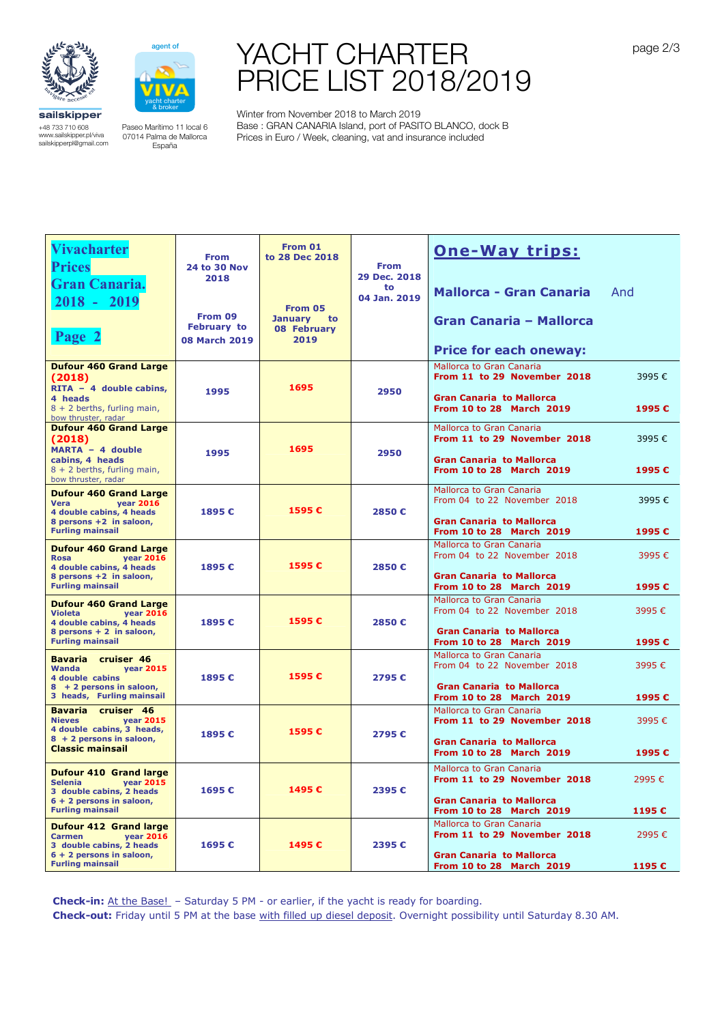



## YACHT CHARTER PRICE LIST 2018/2019

sailskipper +48 733 710 608 www.sailskipper.pl/viva sailskipperpl@gmail.com

**Vivacharter** 

Paseo Marítimo 11 local 6 07014 Palma de Mallorca España

Winter from November 2018 to March 2019 Base : GRAN CANARIA Island, port of PASITO BLANCO, dock B Prices in Euro / Week, cleaning, vat and insurance included

| <b>Vivacharter</b><br><b>Prices</b><br><b>Gran Canaria.</b><br>$2018 - 2019$<br>Page 2                                                                   | <b>From</b><br><b>24 to 30 Nov</b><br>2018<br>From 09<br>February to<br><b>08 March 2019</b> | From 01<br>to 28 Dec 2018<br>From 05<br>January to<br>08 February<br>2019 | <b>From</b><br>29 Dec. 2018<br>to<br>04 Jan. 2019 | <b>One-Way trips:</b><br><b>Mallorca - Gran Canaria</b><br>Gran Canaria - Mallorca<br><b>Price for each oneway:</b>           | And            |
|----------------------------------------------------------------------------------------------------------------------------------------------------------|----------------------------------------------------------------------------------------------|---------------------------------------------------------------------------|---------------------------------------------------|-------------------------------------------------------------------------------------------------------------------------------|----------------|
| <b>Dufour 460 Grand Large</b><br>(2018)<br>$RITA - 4 double cabins,$<br>4 heads<br>$8 + 2$ berths, furling main,<br>bow thruster, radar                  | 1995                                                                                         | 1695                                                                      | 2950                                              | Mallorca to Gran Canaria<br>From 11 to 29 November 2018<br><b>Gran Canaria to Mallorca</b><br><b>From 10 to 28 March 2019</b> | 3995€<br>1995€ |
| <b>Dufour 460 Grand Large</b><br>(2018)<br>MARTA - 4 double<br>cabins, 4 heads<br>$8 + 2$ berths, furling main,<br>bow thruster, radar                   | 1995                                                                                         | 1695                                                                      | 2950                                              | Mallorca to Gran Canaria<br>From 11 to 29 November 2018<br><b>Gran Canaria to Mallorca</b><br><b>From 10 to 28 March 2019</b> | 3995€<br>1995€ |
| <b>Dufour 460 Grand Large</b><br>Vera<br><b>year 2016</b><br>4 double cabins, 4 heads<br>8 persons +2 in saloon,<br><b>Furling mainsail</b>              | 1895€                                                                                        | 1595€                                                                     | 2850€                                             | Mallorca to Gran Canaria<br>From 04 to 22 November 2018<br><b>Gran Canaria to Mallorca</b><br><b>From 10 to 28 March 2019</b> | 3995€<br>1995€ |
| <b>Dufour 460 Grand Large</b><br><b>year 2016</b><br><b>Rosa</b><br>4 double cabins, 4 heads<br>8 persons +2 in saloon,<br><b>Furling mainsail</b>       | 1895€                                                                                        | 1595€                                                                     | 2850€                                             | Mallorca to Gran Canaria<br>From 04 to 22 November 2018<br><b>Gran Canaria to Mallorca</b><br>From 10 to 28 March 2019        | 3995€<br>1995€ |
| <b>Dufour 460 Grand Large</b><br><b>Violeta</b><br><b>year 2016</b><br>4 double cabins, 4 heads<br>8 persons + 2 in saloon,<br><b>Furling mainsail</b>   | 1895€                                                                                        | 1595€                                                                     | 2850€                                             | Mallorca to Gran Canaria<br>From 04 to 22 November 2018<br><b>Gran Canaria to Mallorca</b><br><b>From 10 to 28 March 2019</b> | 3995€<br>1995€ |
| Bavaria cruiser 46<br><b>Wanda</b><br><b>vear 2015</b><br>4 double cabins<br>8 + 2 persons in saloon,<br>3 heads, Furling mainsail                       | 1895€                                                                                        | 1595€                                                                     | 2795€                                             | Mallorca to Gran Canaria<br>From 04 to 22 November 2018<br><b>Gran Canaria to Mallorca</b><br><b>From 10 to 28 March 2019</b> | 3995€<br>1995€ |
| Bavaria cruiser 46<br><b>Nieves</b><br><b>year 2015</b><br>4 double cabins, 3 heads,<br>8 + 2 persons in saloon,<br><b>Classic mainsail</b>              | 1895€                                                                                        | 1595€                                                                     | 2795€                                             | Mallorca to Gran Canaria<br>From 11 to 29 November 2018<br><b>Gran Canaria to Mallorca</b><br><b>From 10 to 28 March 2019</b> | 3995€<br>1995€ |
| <b>Dufour 410 Grand large</b><br><b>Selenia</b><br><b>year 2015</b><br>3 double cabins, 2 heads<br>$6 + 2$ persons in saloon,<br><b>Furling mainsail</b> | 1695€                                                                                        | 1495€                                                                     | 2395€                                             | Mallorca to Gran Canaria<br>From 11 to 29 November 2018<br><b>Gran Canaria to Mallorca</b><br>From 10 to 28 March 2019        | 2995€<br>1195€ |
| <b>Dufour 412 Grand large</b><br><b>Carmen</b><br><b>year 2016</b><br>3 double cabins, 2 heads<br>6 + 2 persons in saloon,<br><b>Furling mainsail</b>    | 1695€                                                                                        | 1495€                                                                     | 2395€                                             | Mallorca to Gran Canaria<br>From 11 to 29 November 2018<br><b>Gran Canaria to Mallorca</b><br>From 10 to 28 March 2019        | 2995€<br>1195€ |

**Check-in:** At the Base! – Saturday 5 PM - or earlier, if the yacht is ready for boarding.

**Check-out:** Friday until 5 PM at the base with filled up diesel deposit. Overnight possibility until Saturday 8.30 AM.